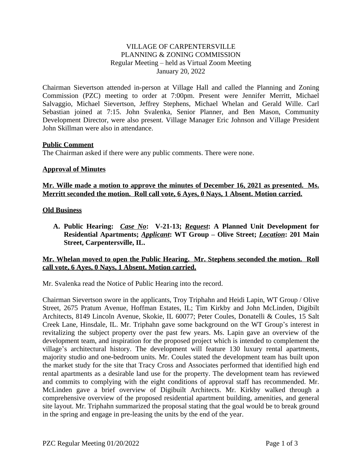## VILLAGE OF CARPENTERSVILLE PLANNING & ZONING COMMISSION Regular Meeting – held as Virtual Zoom Meeting January 20, 2022

Chairman Sievertson attended in-person at Village Hall and called the Planning and Zoning Commission (PZC) meeting to order at 7:00pm. Present were Jennifer Merritt, Michael Salvaggio, Michael Sievertson, Jeffrey Stephens, Michael Whelan and Gerald Wille. Carl Sebastian joined at 7:15. John Svalenka, Senior Planner, and Ben Mason, Community Development Director, were also present. Village Manager Eric Johnson and Village President John Skillman were also in attendance.

## **Public Comment**

The Chairman asked if there were any public comments. There were none.

### **Approval of Minutes**

### **Mr. Wille made a motion to approve the minutes of December 16, 2021 as presented. Ms. Merritt seconded the motion. Roll call vote, 6 Ayes, 0 Nays, 1 Absent. Motion carried.**

### **Old Business**

**A. Public Hearing:** *Case No***: V-21-13;** *Request***: A Planned Unit Development for Residential Apartments;** *Applicant***: WT Group – Olive Street;** *Location***: 201 Main Street, Carpentersville, IL.**

## **Mr. Whelan moved to open the Public Hearing. Mr. Stephens seconded the motion. Roll call vote, 6 Ayes, 0 Nays, 1 Absent. Motion carried.**

Mr. Svalenka read the Notice of Public Hearing into the record.

Chairman Sievertson swore in the applicants, Troy Triphahn and Heidi Lapin, WT Group / Olive Street, 2675 Pratum Avenue, Hoffman Estates, IL; Tim Kirkby and John McLinden, Digibilt Architects, 8149 Lincoln Avenue, Skokie, IL 60077; Peter Coules, Donatelli & Coules, 15 Salt Creek Lane, Hinsdale, IL. Mr. Triphahn gave some background on the WT Group's interest in revitalizing the subject property over the past few years. Ms. Lapin gave an overview of the development team, and inspiration for the proposed project which is intended to complement the village's architectural history. The development will feature 130 luxury rental apartments, majority studio and one-bedroom units. Mr. Coules stated the development team has built upon the market study for the site that Tracy Cross and Associates performed that identified high end rental apartments as a desirable land use for the property. The development team has reviewed and commits to complying with the eight conditions of approval staff has recommended. Mr. McLinden gave a brief overview of Digibuilt Architects. Mr. Kirkby walked through a comprehensive overview of the proposed residential apartment building, amenities, and general site layout. Mr. Triphahn summarized the proposal stating that the goal would be to break ground in the spring and engage in pre-leasing the units by the end of the year.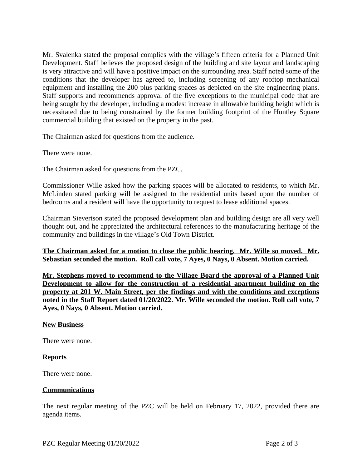Mr. Svalenka stated the proposal complies with the village's fifteen criteria for a Planned Unit Development. Staff believes the proposed design of the building and site layout and landscaping is very attractive and will have a positive impact on the surrounding area. Staff noted some of the conditions that the developer has agreed to, including screening of any rooftop mechanical equipment and installing the 200 plus parking spaces as depicted on the site engineering plans. Staff supports and recommends approval of the five exceptions to the municipal code that are being sought by the developer, including a modest increase in allowable building height which is necessitated due to being constrained by the former building footprint of the Huntley Square commercial building that existed on the property in the past.

The Chairman asked for questions from the audience.

There were none.

The Chairman asked for questions from the PZC.

Commissioner Wille asked how the parking spaces will be allocated to residents, to which Mr. McLinden stated parking will be assigned to the residential units based upon the number of bedrooms and a resident will have the opportunity to request to lease additional spaces.

Chairman Sievertson stated the proposed development plan and building design are all very well thought out, and he appreciated the architectural references to the manufacturing heritage of the community and buildings in the village's Old Town District.

**The Chairman asked for a motion to close the public hearing. Mr. Wille so moved. Mr. Sebastian seconded the motion. Roll call vote, 7 Ayes, 0 Nays, 0 Absent. Motion carried.**

**Mr. Stephens moved to recommend to the Village Board the approval of a Planned Unit Development to allow for the construction of a residential apartment building on the property at 201 W. Main Street, per the findings and with the conditions and exceptions noted in the Staff Report dated 01/20/2022. Mr. Wille seconded the motion. Roll call vote, 7 Ayes, 0 Nays, 0 Absent. Motion carried.**

### **New Business**

There were none.

### **Reports**

There were none.

### **Communications**

The next regular meeting of the PZC will be held on February 17, 2022, provided there are agenda items.